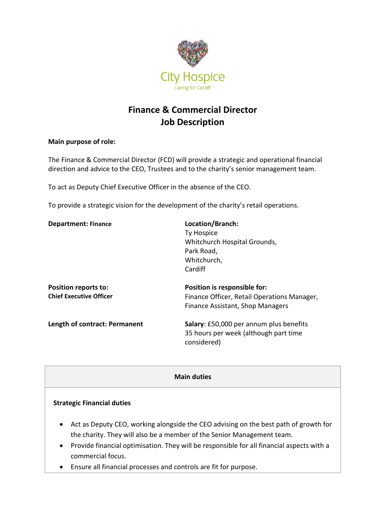

# **Finance & Commercial Director Job Description**

#### **Main purpose of role:**

The Finance & Commercial Director (FCD) will provide a strategic and operational financial direction and advice to the CEO, Trustees and to the charity's senior management team.

To act as Deputy Chief Executive Officer in the absence of the CEO.

To provide a strategic vision for the development of the charity's retail operations.

| <b>Department: Finance</b>     | Location/Branch:                                                                                |
|--------------------------------|-------------------------------------------------------------------------------------------------|
|                                | Ty Hospice                                                                                      |
|                                | Whitchurch Hospital Grounds,                                                                    |
|                                | Park Road,                                                                                      |
|                                | Whitchurch,                                                                                     |
|                                | Cardiff                                                                                         |
| Position reports to:           | Position is responsible for:                                                                    |
| <b>Chief Executive Officer</b> | Finance Officer, Retail Operations Manager,                                                     |
|                                | Finance Assistant, Shop Managers                                                                |
| Length of contract: Permanent  | Salary: £50,000 per annum plus benefits<br>35 hours per week (although part time<br>considered) |

#### **Main duties**

#### **Strategic Financial duties**

- Act as Deputy CEO, working alongside the CEO advising on the best path of growth for the charity. They will also be a member of the Senior Management team.
- Provide financial optimisation. They will be responsible for all financial aspects with a commercial focus.
- Ensure all financial processes and controls are fit for purpose.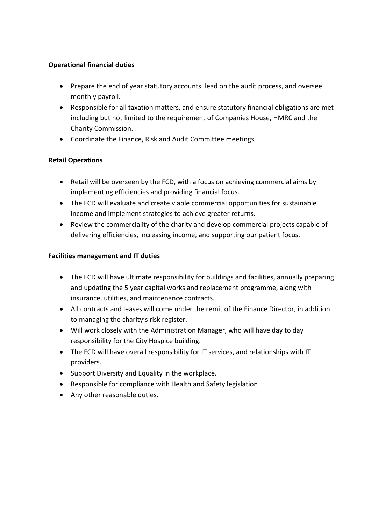## **Operational financial duties**

- Prepare the end of year statutory accounts, lead on the audit process, and oversee monthly payroll.
- Responsible for all taxation matters, and ensure statutory financial obligations are met including but not limited to the requirement of Companies House, HMRC and the Charity Commission.
- Coordinate the Finance, Risk and Audit Committee meetings.

# **Retail Operations**

- Retail will be overseen by the FCD, with a focus on achieving commercial aims by implementing efficiencies and providing financial focus.
- The FCD will evaluate and create viable commercial opportunities for sustainable income and implement strategies to achieve greater returns.
- Review the commerciality of the charity and develop commercial projects capable of delivering efficiencies, increasing income, and supporting our patient focus.

## **Facilities management and IT duties**

- The FCD will have ultimate responsibility for buildings and facilities, annually preparing and updating the 5 year capital works and replacement programme, along with insurance, utilities, and maintenance contracts.
- All contracts and leases will come under the remit of the Finance Director, in addition to managing the charity's risk register.
- Will work closely with the Administration Manager, who will have day to day responsibility for the City Hospice building.
- The FCD will have overall responsibility for IT services, and relationships with IT providers.
- Support Diversity and Equality in the workplace.
- Responsible for compliance with Health and Safety legislation
- Any other reasonable duties.